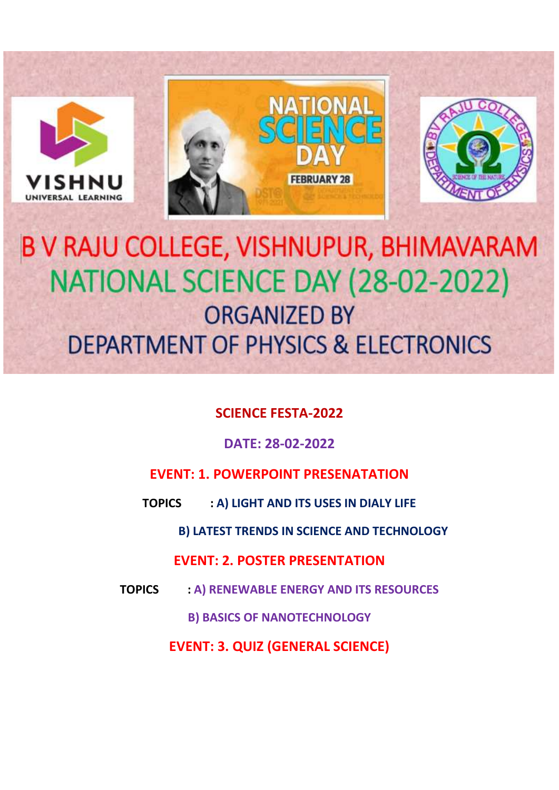

# B V RAJU COLLEGE, VISHNUPUR, BHIMAVARAM NATIONAL SCIENCE DAY (28-02-2022) **ORGANIZED BY DEPARTMENT OF PHYSICS & ELECTRONICS**

## **SCIENCE FESTA-2022**

## **DATE: 28-02-2022**

## **EVENT: 1. POWERPOINT PRESENATATION**

**TOPICS : A) LIGHT AND ITS USES IN DIALY LIFE**

**B) LATEST TRENDS IN SCIENCE AND TECHNOLOGY**

### **EVENT: 2. POSTER PRESENTATION**

**TOPICS : A) RENEWABLE ENERGY AND ITS RESOURCES**

**B) BASICS OF NANOTECHNOLOGY**

**EVENT: 3. QUIZ (GENERAL SCIENCE)**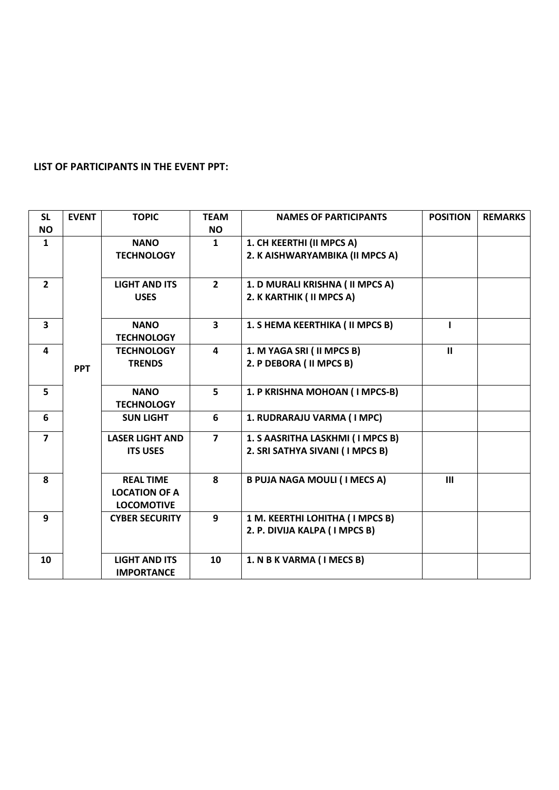#### **LIST OF PARTICIPANTS IN THE EVENT PPT:**

| <b>SL</b>      | <b>EVENT</b> | <b>TOPIC</b>           | <b>TEAM</b>             | <b>NAMES OF PARTICIPANTS</b>        | <b>POSITION</b> | <b>REMARKS</b> |
|----------------|--------------|------------------------|-------------------------|-------------------------------------|-----------------|----------------|
| <b>NO</b>      |              |                        | NO.                     |                                     |                 |                |
| $\mathbf{1}$   |              | <b>NANO</b>            | $\mathbf{1}$            | 1. CH KEERTHI (II MPCS A)           |                 |                |
|                |              | <b>TECHNOLOGY</b>      |                         | 2. K AISHWARYAMBIKA (II MPCS A)     |                 |                |
|                |              |                        |                         |                                     |                 |                |
| $\overline{2}$ |              | <b>LIGHT AND ITS</b>   | $2^{\circ}$             | 1. D MURALI KRISHNA ( II MPCS A)    |                 |                |
|                |              | <b>USES</b>            |                         | 2. K KARTHIK ( II MPCS A)           |                 |                |
|                |              |                        |                         |                                     |                 |                |
| 3              |              | <b>NANO</b>            | $\overline{\mathbf{3}}$ | 1. S HEMA KEERTHIKA ( II MPCS B)    |                 |                |
|                |              | <b>TECHNOLOGY</b>      |                         |                                     |                 |                |
| 4              |              | <b>TECHNOLOGY</b>      | $\overline{\mathbf{4}}$ | 1. M YAGA SRI ( II MPCS B)          | $\mathbf{II}$   |                |
|                | <b>PPT</b>   | <b>TRENDS</b>          |                         | 2. P DEBORA ( II MPCS B)            |                 |                |
|                |              |                        |                         |                                     |                 |                |
| 5              |              | <b>NANO</b>            | 5                       | 1. P KRISHNA MOHOAN (I MPCS-B)      |                 |                |
|                |              | <b>TECHNOLOGY</b>      |                         |                                     |                 |                |
| 6              |              | <b>SUN LIGHT</b>       | 6                       | 1. RUDRARAJU VARMA (IMPC)           |                 |                |
| $\overline{7}$ |              | <b>LASER LIGHT AND</b> | $\overline{7}$          | 1. S AASRITHA LASKHMI (I MPCS B)    |                 |                |
|                |              | <b>ITS USES</b>        |                         | 2. SRI SATHYA SIVANI (I MPCS B)     |                 |                |
|                |              |                        |                         |                                     |                 |                |
| 8              |              | <b>REAL TIME</b>       | 8                       | <b>B PUJA NAGA MOULI (I MECS A)</b> | III             |                |
|                |              | <b>LOCATION OF A</b>   |                         |                                     |                 |                |
|                |              | <b>LOCOMOTIVE</b>      |                         |                                     |                 |                |
| 9              |              | <b>CYBER SECURITY</b>  | 9                       | 1 M. KEERTHI LOHITHA (I MPCS B)     |                 |                |
|                |              |                        |                         | 2. P. DIVIJA KALPA ( I MPCS B)      |                 |                |
|                |              |                        |                         |                                     |                 |                |
| 10             |              | <b>LIGHT AND ITS</b>   | 10                      | 1. N B K VARMA (I MECS B)           |                 |                |
|                |              | <b>IMPORTANCE</b>      |                         |                                     |                 |                |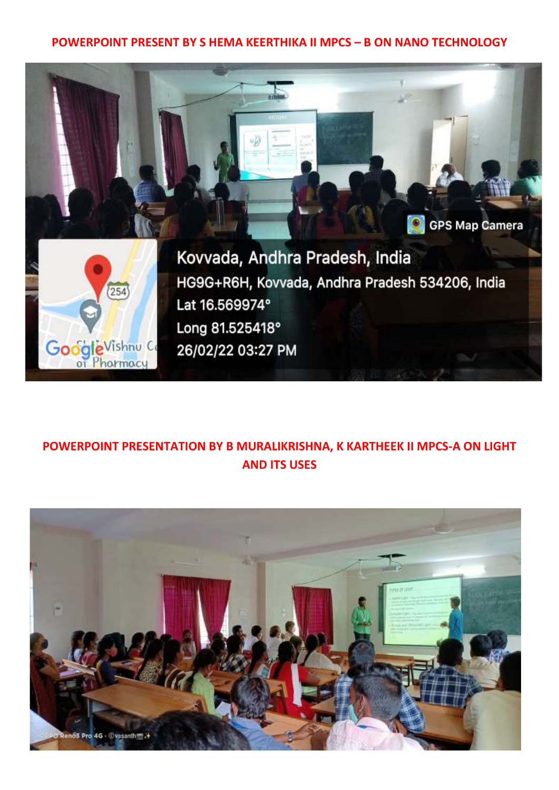#### **POWERPOINT PRESENT BY S HEMA KEERTHIKA II MPCS – B ON NANO TECHNOLOGY**



## **POWERPOINT PRESENTATION BY B MURALIKRISHNA, K KARTHEEK II MPCS-A ON LIGHT AND ITS USES**

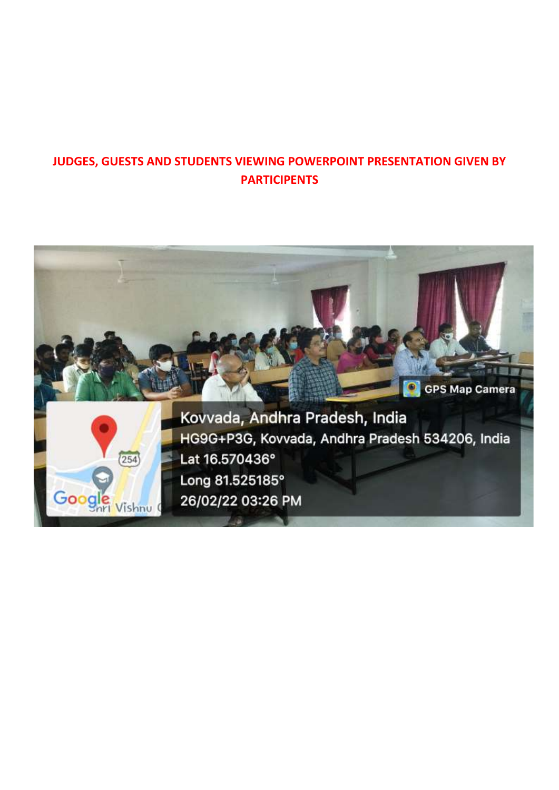## **JUDGES, GUESTS AND STUDENTS VIEWING POWERPOINT PRESENTATION GIVEN BY PARTICIPENTS**

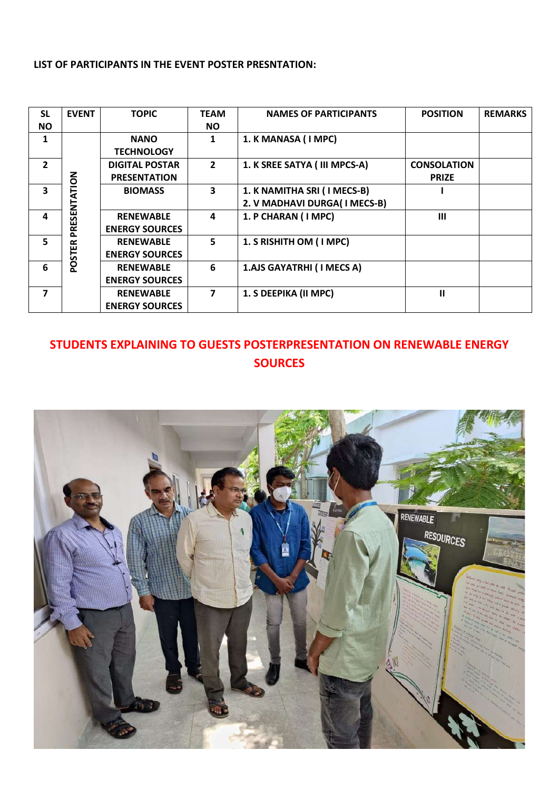#### **LIST OF PARTICIPANTS IN THE EVENT POSTER PRESNTATION:**

| <b>SL</b>      | <b>EVENT</b>  | <b>TOPIC</b>          | <b>TEAM</b>    | <b>NAMES OF PARTICIPANTS</b>  | <b>POSITION</b>    | <b>REMARKS</b> |
|----------------|---------------|-----------------------|----------------|-------------------------------|--------------------|----------------|
| <b>NO</b>      |               |                       | NO.            |                               |                    |                |
| 1              |               | <b>NANO</b>           | 1              | 1. K MANASA (I MPC)           |                    |                |
|                |               | <b>TECHNOLOGY</b>     |                |                               |                    |                |
| $\overline{2}$ |               | <b>DIGITAL POSTAR</b> | $\overline{2}$ | 1. K SREE SATYA ( III MPCS-A) | <b>CONSOLATION</b> |                |
|                |               | <b>PRESENTATION</b>   |                |                               | <b>PRIZE</b>       |                |
| 3              | PRESENTATION  | <b>BIOMASS</b>        | 3              | 1. K NAMITHA SRI (I MECS-B)   |                    |                |
|                |               |                       |                | 2. V MADHAVI DURGA(I MECS-B)  |                    |                |
| 4              |               | <b>RENEWABLE</b>      | 4              | 1. P CHARAN (I MPC)           | $\mathbf{m}$       |                |
|                |               | <b>ENERGY SOURCES</b> |                |                               |                    |                |
| 5.             |               | <b>RENEWABLE</b>      | 5              | 1. S RISHITH OM (I MPC)       |                    |                |
|                | <b>POSTER</b> | <b>ENERGY SOURCES</b> |                |                               |                    |                |
| 6              |               | <b>RENEWABLE</b>      | 6              | 1.AJS GAYATRHI (I MECS A)     |                    |                |
|                |               | <b>ENERGY SOURCES</b> |                |                               |                    |                |
| $\overline{7}$ |               | <b>RENEWABLE</b>      | 7              | 1. S DEEPIKA (II MPC)         | $\mathbf{u}$       |                |
|                |               | <b>ENERGY SOURCES</b> |                |                               |                    |                |

## **STUDENTS EXPLAINING TO GUESTS POSTERPRESENTATION ON RENEWABLE ENERGY SOURCES**

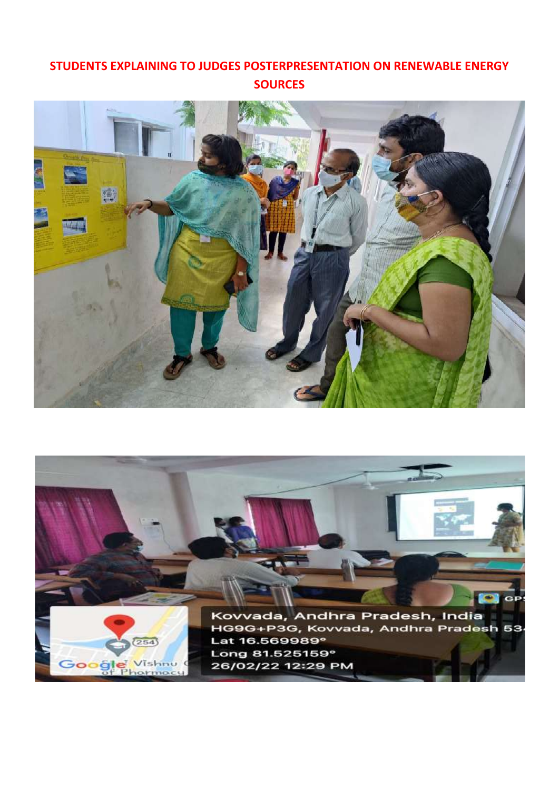## **STUDENTS EXPLAINING TO JUDGES POSTERPRESENTATION ON RENEWABLE ENERGY SOURCES**



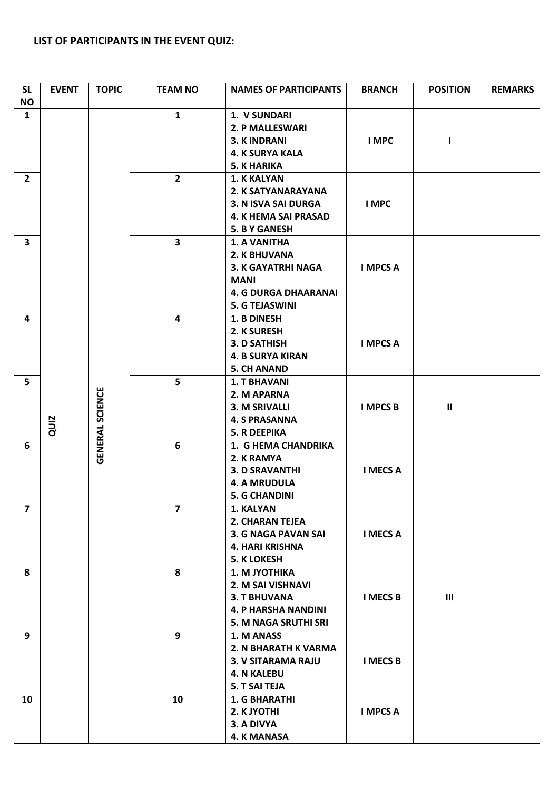#### **LIST OF PARTICIPANTS IN THE EVENT QUIZ:**

| <b>SL</b><br><b>NO</b>  | <b>EVENT</b> | <b>TOPIC</b>           | <b>TEAM NO</b>          | <b>NAMES OF PARTICIPANTS</b>                                                                                                     | <b>BRANCH</b>                                                                                             | <b>POSITION</b> | <b>REMARKS</b> |  |
|-------------------------|--------------|------------------------|-------------------------|----------------------------------------------------------------------------------------------------------------------------------|-----------------------------------------------------------------------------------------------------------|-----------------|----------------|--|
| 1                       |              |                        | $\mathbf{1}$            | 1. V SUNDARI<br>2. P MALLESWARI<br><b>3. KINDRANI</b><br><b>4. K SURYA KALA</b><br><b>5. K HARIKA</b>                            | I MPC                                                                                                     |                 |                |  |
| $\overline{2}$          |              |                        | $\overline{2}$          | 1. K KALYAN<br>2. K SATYANARAYANA<br>3. N ISVA SAI DURGA<br><b>4. K HEMA SAI PRASAD</b><br><b>5. B Y GANESH</b>                  | I MPC                                                                                                     |                 |                |  |
| $\overline{\mathbf{3}}$ |              |                        | $\overline{\mathbf{3}}$ | <b>1. A VANITHA</b><br>2. K BHUVANA<br>3. K GAYATRHI NAGA<br><b>MANI</b><br><b>4. G DURGA DHAARANAI</b><br><b>5. G TEJASWINI</b> | <b>I MPCS A</b>                                                                                           |                 |                |  |
| 4                       |              |                        | 4                       | 1. B DINESH<br>2. K SURESH<br>3. D SATHISH<br><b>4. B SURYA KIRAN</b><br><b>5. CH ANAND</b>                                      | <b>I MPCS A</b>                                                                                           |                 |                |  |
| 5                       | QUIZ         | <b>GENERAL SCIENCE</b> | 5                       | <b>1. T BHAVANI</b><br>2. M APARNA<br>3. M SRIVALLI<br><b>4. S PRASANNA</b><br><b>5. R DEEPIKA</b>                               | <b>I MPCS B</b>                                                                                           | $\mathbf{H}$    |                |  |
| 6                       |              |                        |                         | 6                                                                                                                                | 1. G HEMA CHANDRIKA<br>2. K RAMYA<br><b>3. D SRAVANTHI</b><br><b>4. A MRUDULA</b><br><b>5. G CHANDINI</b> | <b>I MECS A</b> |                |  |
| $\overline{7}$          |              |                        | $\overline{7}$          | 1. KALYAN<br>2. CHARAN TEJEA<br><b>3. G NAGA PAVAN SAI</b><br><b>4. HARI KRISHNA</b><br><b>5. K LOKESH</b>                       | <b>I MECS A</b>                                                                                           |                 |                |  |
| 8                       |              |                        | 8                       | 1. M JYOTHIKA<br>2. M SAI VISHNAVI<br><b>3. T BHUVANA</b><br><b>4. P HARSHA NANDINI</b><br>5. M NAGA SRUTHI SRI                  | <b>I MECS B</b>                                                                                           | $\mathbf{III}$  |                |  |
| 9                       |              |                        | 9                       | 1. M ANASS<br>2. N BHARATH K VARMA<br><b>3. V SITARAMA RAJU</b><br><b>4. N KALEBU</b><br><b>5. T SAI TEJA</b>                    | <b>I MECS B</b>                                                                                           |                 |                |  |
| 10                      |              |                        | 10                      | <b>1. G BHARATHI</b><br>2. K JYOTHI<br>3. A DIVYA<br><b>4. K MANASA</b>                                                          | <b>I MPCS A</b>                                                                                           |                 |                |  |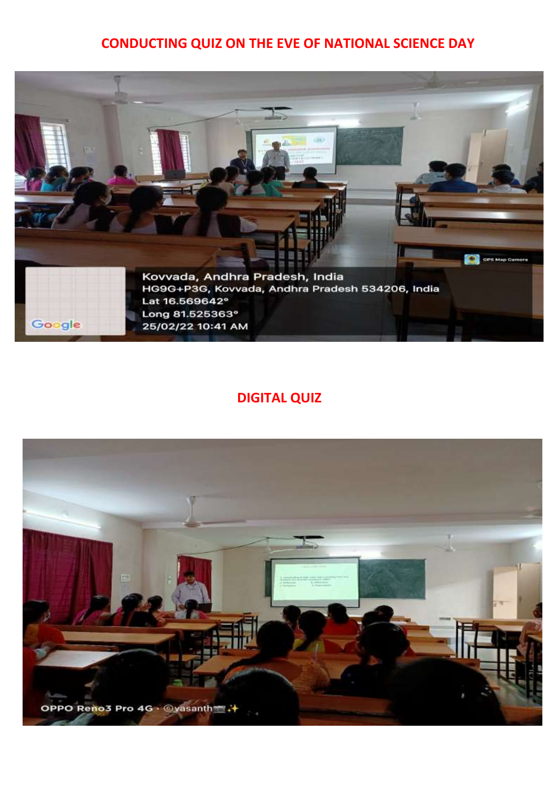## **CONDUCTING QUIZ ON THE EVE OF NATIONAL SCIENCE DAY**



## **DIGITAL QUIZ**

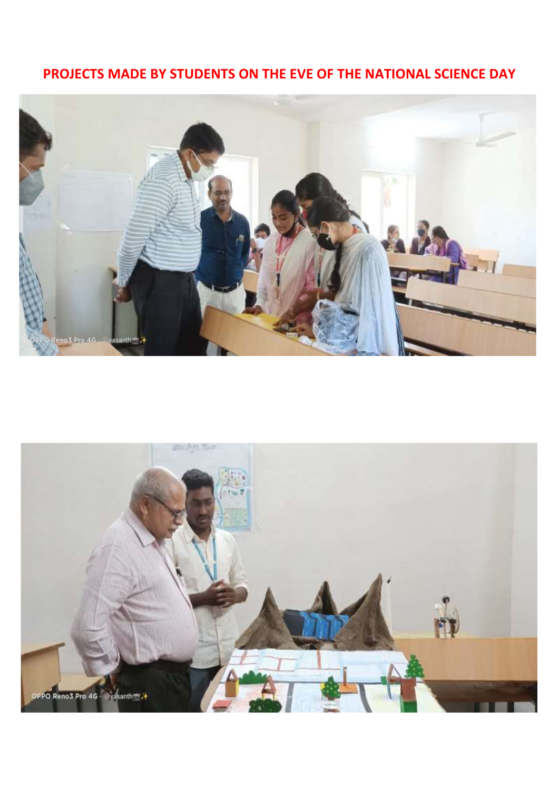## **PROJECTS MADE BY STUDENTS ON THE EVE OF THE NATIONAL SCIENCE DAY**



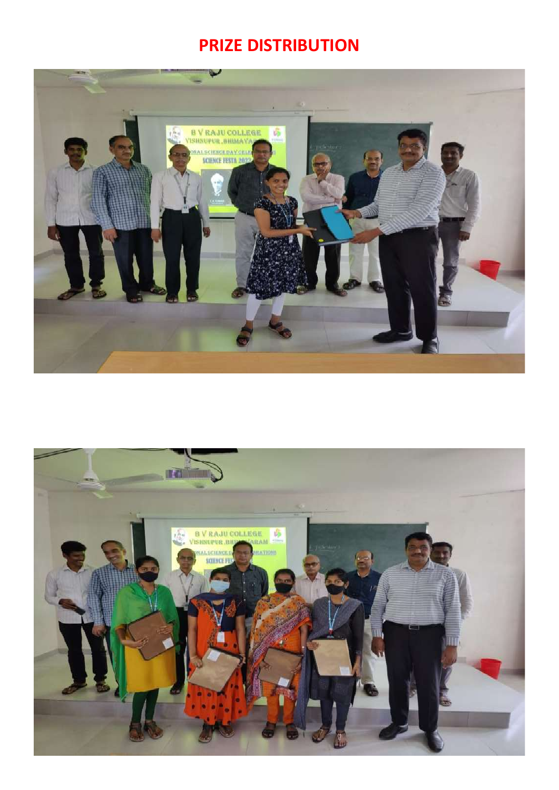# **PRIZE DISTRIBUTION**